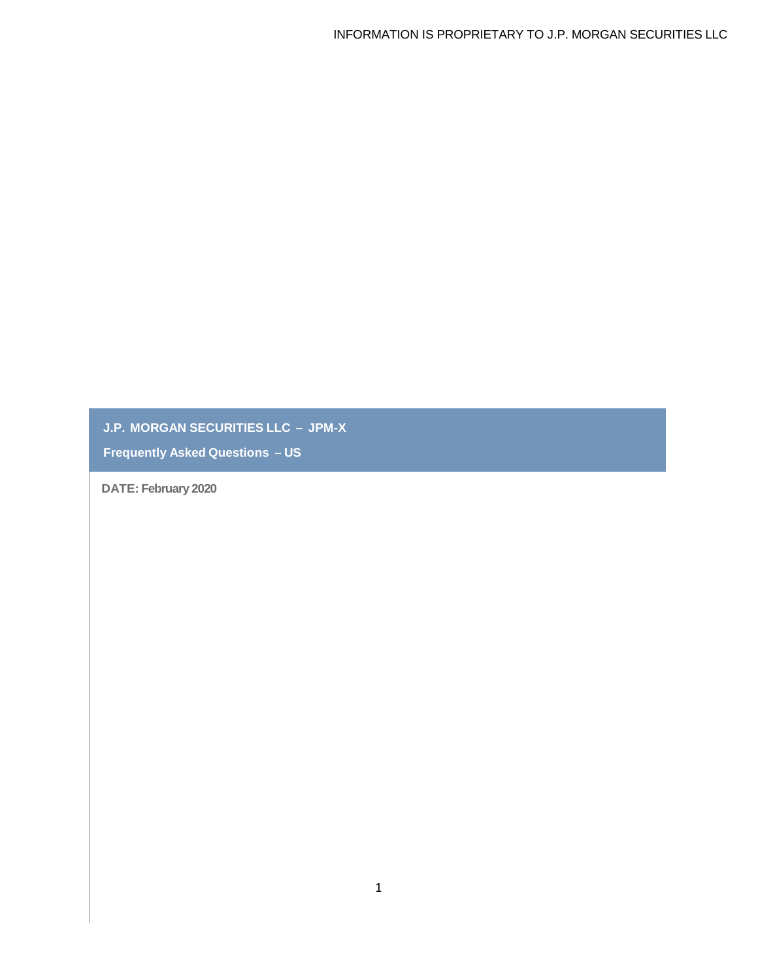**J.P. MORGAN SECURITIES LLC – JPM-X**

**Frequently Asked Questions – US**

**DATE: February 2020**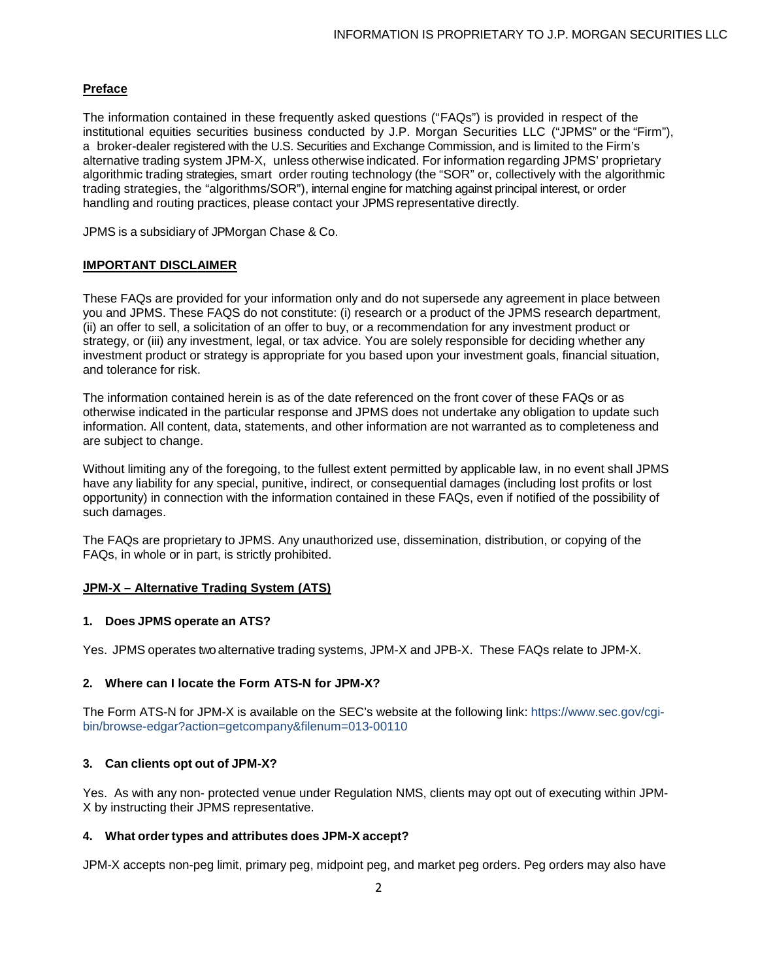# **Preface**

The information contained in these frequently asked questions ("FAQs") is provided in respect of the institutional equities securities business conducted by J.P. Morgan Securities LLC ("JPMS" or the "Firm"), a broker-dealer registered with the U.S. Securities and Exchange Commission, and is limited to the Firm's alternative trading system JPM-X, unless otherwise indicated. For information regarding JPMS' proprietary algorithmic trading strategies, smart order routing technology (the "SOR" or, collectively with the algorithmic trading strategies, the "algorithms/SOR"), internal engine for matching against principal interest, or order handling and routing practices, please contact your JPMS representative directly.

JPMS is a subsidiary of JPMorgan Chase & Co.

### **IMPORTANT DISCLAIMER**

These FAQs are provided for your information only and do not supersede any agreement in place between you and JPMS. These FAQS do not constitute: (i) research or a product of the JPMS research department, (ii) an offer to sell, a solicitation of an offer to buy, or a recommendation for any investment product or strategy, or (iii) any investment, legal, or tax advice. You are solely responsible for deciding whether any investment product or strategy is appropriate for you based upon your investment goals, financial situation, and tolerance for risk.

The information contained herein is as of the date referenced on the front cover of these FAQs or as otherwise indicated in the particular response and JPMS does not undertake any obligation to update such information. All content, data, statements, and other information are not warranted as to completeness and are subject to change.

Without limiting any of the foregoing, to the fullest extent permitted by applicable law, in no event shall JPMS have any liability for any special, punitive, indirect, or consequential damages (including lost profits or lost opportunity) in connection with the information contained in these FAQs, even if notified of the possibility of such damages.

The FAQs are proprietary to JPMS. Any unauthorized use, dissemination, distribution, or copying of the FAQs, in whole or in part, is strictly prohibited.

### **JPM-X – Alternative Trading System (ATS)**

### **1. Does JPMS operate an ATS?**

Yes. JPMS operates two alternative trading systems, JPM-X and JPB-X. These FAQs relate to JPM-X.

### **2. Where can I locate the Form ATS-N for JPM-X?**

The Form ATS-N for JPM-X is available on the SEC's website at the following link: https://www.sec.gov/cgibin/browse-edgar?action=getcompany&filenum=013-00110

## **3. Can clients opt out of JPM-X?**

Yes. As with any non- protected venue under Regulation NMS, clients may opt out of executing within JPM-X by instructing their JPMS representative.

### **4. What ordertypes and attributes does JPM-X accept?**

JPM-X accepts non-peg limit, primary peg, midpoint peg, and market peg orders. Peg orders may also have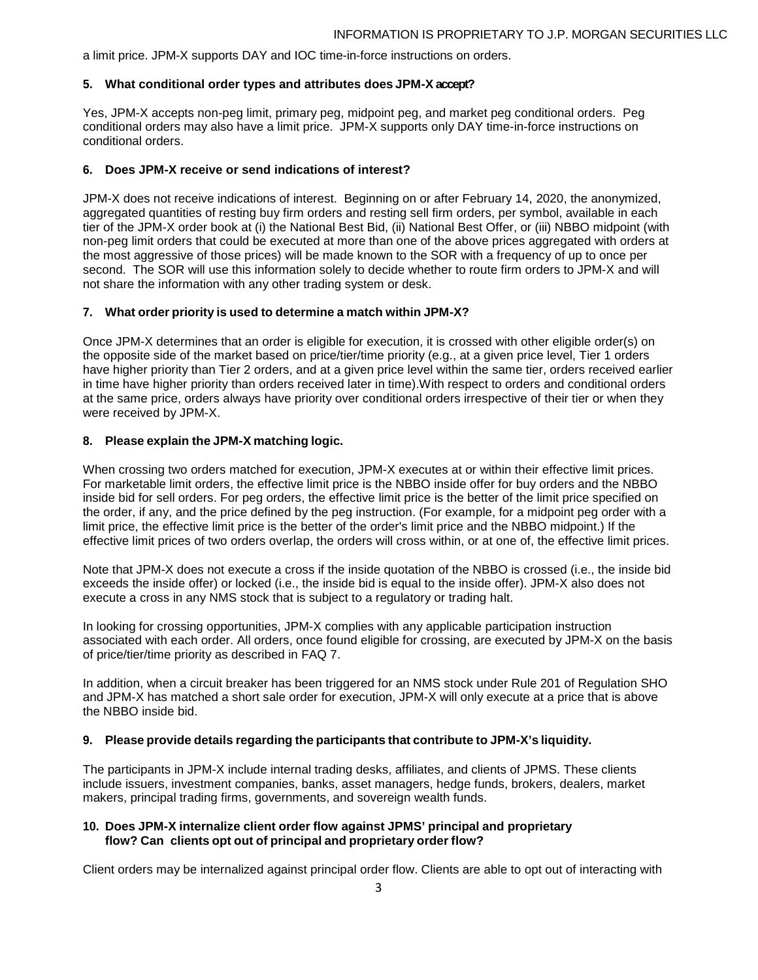a limit price. JPM-X supports DAY and IOC time-in-force instructions on orders.

#### **5. What conditional order types and attributes does JPM-X accept?**

Yes, JPM-X accepts non-peg limit, primary peg, midpoint peg, and market peg conditional orders. Peg conditional orders may also have a limit price. JPM-X supports only DAY time-in-force instructions on conditional orders.

#### **6. Does JPM-X receive or send indications of interest?**

JPM-X does not receive indications of interest. Beginning on or after February 14, 2020, the anonymized, aggregated quantities of resting buy firm orders and resting sell firm orders, per symbol, available in each tier of the JPM-X order book at (i) the National Best Bid, (ii) National Best Offer, or (iii) NBBO midpoint (with non-peg limit orders that could be executed at more than one of the above prices aggregated with orders at the most aggressive of those prices) will be made known to the SOR with a frequency of up to once per second. The SOR will use this information solely to decide whether to route firm orders to JPM-X and will not share the information with any other trading system or desk.

#### **7. What order priority is used to determine a match within JPM-X?**

Once JPM-X determines that an order is eligible for execution, it is crossed with other eligible order(s) on the opposite side of the market based on price/tier/time priority (e.g., at a given price level, Tier 1 orders have higher priority than Tier 2 orders, and at a given price level within the same tier, orders received earlier in time have higher priority than orders received later in time).With respect to orders and conditional orders at the same price, orders always have priority over conditional orders irrespective of their tier or when they were received by JPM-X.

#### **8. Please explain the JPM-X matching logic.**

When crossing two orders matched for execution, JPM-X executes at or within their effective limit prices. For marketable limit orders, the effective limit price is the NBBO inside offer for buy orders and the NBBO inside bid for sell orders. For peg orders, the effective limit price is the better of the limit price specified on the order, if any, and the price defined by the peg instruction. (For example, for a midpoint peg order with a limit price, the effective limit price is the better of the order's limit price and the NBBO midpoint.) If the effective limit prices of two orders overlap, the orders will cross within, or at one of, the effective limit prices.

Note that JPM-X does not execute a cross if the inside quotation of the NBBO is crossed (i.e., the inside bid exceeds the inside offer) or locked (i.e., the inside bid is equal to the inside offer). JPM-X also does not execute a cross in any NMS stock that is subject to a regulatory or trading halt.

In looking for crossing opportunities, JPM-X complies with any applicable participation instruction associated with each order. All orders, once found eligible for crossing, are executed by JPM-X on the basis of price/tier/time priority as described in FAQ 7.

In addition, when a circuit breaker has been triggered for an NMS stock under Rule 201 of Regulation SHO and JPM-X has matched a short sale order for execution, JPM-X will only execute at a price that is above the NBBO inside bid.

#### **9. Please provide details regarding the participants that contribute to JPM-X's liquidity.**

The participants in JPM-X include internal trading desks, affiliates, and clients of JPMS. These clients include issuers, investment companies, banks, asset managers, hedge funds, brokers, dealers, market makers, principal trading firms, governments, and sovereign wealth funds.

## **10. Does JPM-X internalize client order flow against JPMS' principal and proprietary flow? Can clients opt out of principal and proprietary order flow?**

Client orders may be internalized against principal order flow. Clients are able to opt out of interacting with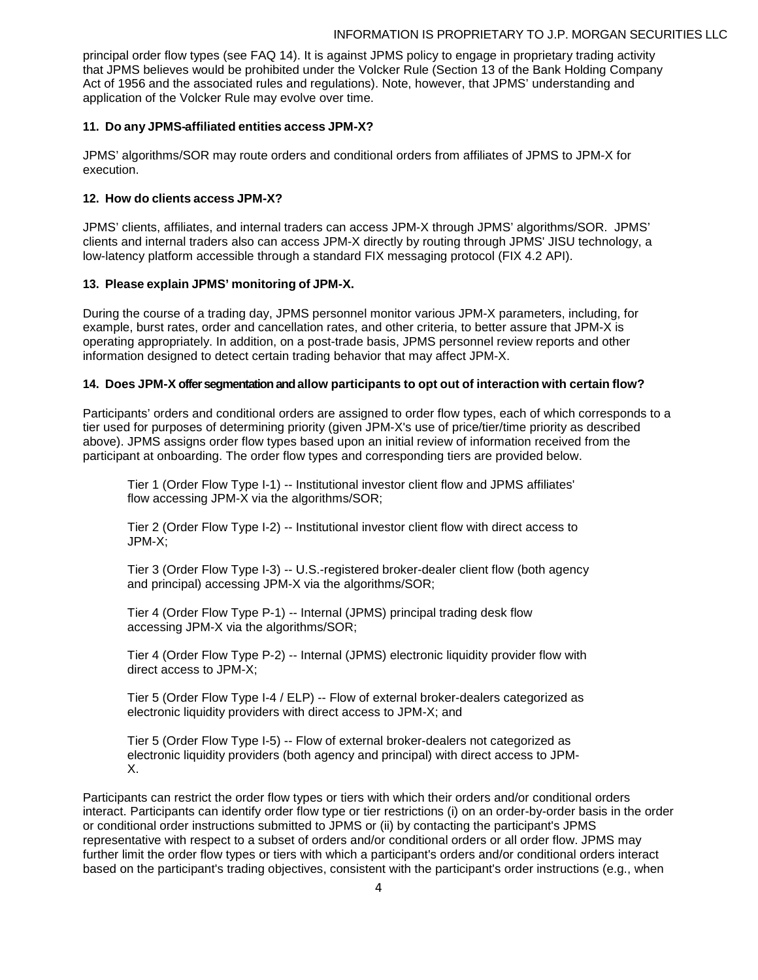principal order flow types (see FAQ 14). It is against JPMS policy to engage in proprietary trading activity that JPMS believes would be prohibited under the Volcker Rule (Section 13 of the Bank Holding Company Act of 1956 and the associated rules and regulations). Note, however, that JPMS' understanding and application of the Volcker Rule may evolve over time.

## **11. Do any JPMS-affiliated entities access JPM-X?**

JPMS' algorithms/SOR may route orders and conditional orders from affiliates of JPMS to JPM-X for execution.

## **12. How do clients access JPM-X?**

JPMS' clients, affiliates, and internal traders can access JPM-X through JPMS' algorithms/SOR. JPMS' clients and internal traders also can access JPM-X directly by routing through JPMS' JISU technology, a low-latency platform accessible through a standard FIX messaging protocol (FIX 4.2 API).

## **13. Please explain JPMS' monitoring of JPM-X.**

During the course of a trading day, JPMS personnel monitor various JPM-X parameters, including, for example, burst rates, order and cancellation rates, and other criteria, to better assure that JPM-X is operating appropriately. In addition, on a post-trade basis, JPMS personnel review reports and other information designed to detect certain trading behavior that may affect JPM-X.

## **14. Does JPM-X offer segmentation and allow participants to opt out of interaction with certain flow?**

Participants' orders and conditional orders are assigned to order flow types, each of which corresponds to a tier used for purposes of determining priority (given JPM-X's use of price/tier/time priority as described above). JPMS assigns order flow types based upon an initial review of information received from the participant at onboarding. The order flow types and corresponding tiers are provided below.

Tier 1 (Order Flow Type I-1) -- Institutional investor client flow and JPMS affiliates' flow accessing JPM-X via the algorithms/SOR;

Tier 2 (Order Flow Type I-2) -- Institutional investor client flow with direct access to JPM-X;

Tier 3 (Order Flow Type I-3) -- U.S.-registered broker-dealer client flow (both agency and principal) accessing JPM-X via the algorithms/SOR;

Tier 4 (Order Flow Type P-1) -- Internal (JPMS) principal trading desk flow accessing JPM-X via the algorithms/SOR;

Tier 4 (Order Flow Type P-2) -- Internal (JPMS) electronic liquidity provider flow with direct access to JPM-X;

Tier 5 (Order Flow Type I-4 / ELP) -- Flow of external broker-dealers categorized as electronic liquidity providers with direct access to JPM-X; and

Tier 5 (Order Flow Type I-5) -- Flow of external broker-dealers not categorized as electronic liquidity providers (both agency and principal) with direct access to JPM-X.

Participants can restrict the order flow types or tiers with which their orders and/or conditional orders interact. Participants can identify order flow type or tier restrictions (i) on an order-by-order basis in the order or conditional order instructions submitted to JPMS or (ii) by contacting the participant's JPMS representative with respect to a subset of orders and/or conditional orders or all order flow. JPMS may further limit the order flow types or tiers with which a participant's orders and/or conditional orders interact based on the participant's trading objectives, consistent with the participant's order instructions (e.g., when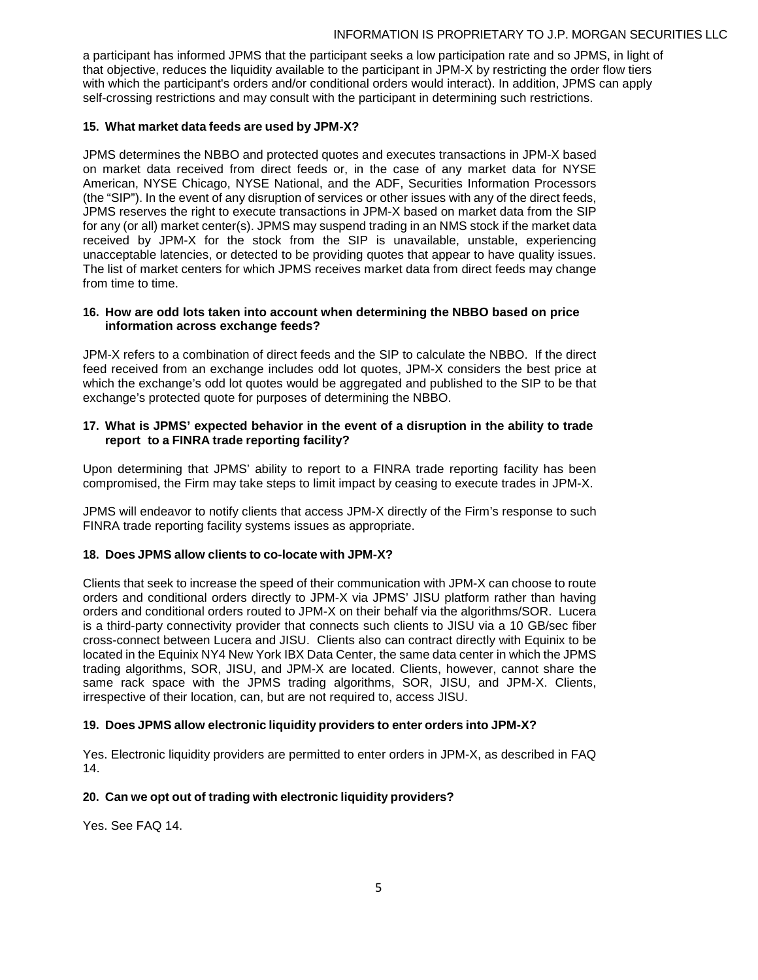a participant has informed JPMS that the participant seeks a low participation rate and so JPMS, in light of that objective, reduces the liquidity available to the participant in JPM-X by restricting the order flow tiers with which the participant's orders and/or conditional orders would interact). In addition, JPMS can apply self-crossing restrictions and may consult with the participant in determining such restrictions.

## **15. What market data feeds are used by JPM-X?**

JPMS determines the NBBO and protected quotes and executes transactions in JPM-X based on market data received from direct feeds or, in the case of any market data for NYSE American, NYSE Chicago, NYSE National, and the ADF, Securities Information Processors (the "SIP"). In the event of any disruption of services or other issues with any of the direct feeds, JPMS reserves the right to execute transactions in JPM-X based on market data from the SIP for any (or all) market center(s). JPMS may suspend trading in an NMS stock if the market data received by JPM-X for the stock from the SIP is unavailable, unstable, experiencing unacceptable latencies, or detected to be providing quotes that appear to have quality issues. The list of market centers for which JPMS receives market data from direct feeds may change from time to time.

### **16. How are odd lots taken into account when determining the NBBO based on price information across exchange feeds?**

JPM-X refers to a combination of direct feeds and the SIP to calculate the NBBO. If the direct feed received from an exchange includes odd lot quotes, JPM-X considers the best price at which the exchange's odd lot quotes would be aggregated and published to the SIP to be that exchange's protected quote for purposes of determining the NBBO.

## **17. What is JPMS' expected behavior in the event of a disruption in the ability to trade report to a FINRA trade reporting facility?**

Upon determining that JPMS' ability to report to a FINRA trade reporting facility has been compromised, the Firm may take steps to limit impact by ceasing to execute trades in JPM-X.

JPMS will endeavor to notify clients that access JPM-X directly of the Firm's response to such FINRA trade reporting facility systems issues as appropriate.

## **18. Does JPMS allow clients to co-locate with JPM-X?**

Clients that seek to increase the speed of their communication with JPM-X can choose to route orders and conditional orders directly to JPM-X via JPMS' JISU platform rather than having orders and conditional orders routed to JPM-X on their behalf via the algorithms/SOR. Lucera is a third-party connectivity provider that connects such clients to JISU via a 10 GB/sec fiber cross-connect between Lucera and JISU. Clients also can contract directly with Equinix to be located in the Equinix NY4 New York IBX Data Center, the same data center in which the JPMS trading algorithms, SOR, JISU, and JPM-X are located. Clients, however, cannot share the same rack space with the JPMS trading algorithms, SOR, JISU, and JPM-X. Clients, irrespective of their location, can, but are not required to, access JISU.

## **19. Does JPMS allow electronic liquidity providers to enter orders into JPM-X?**

Yes. Electronic liquidity providers are permitted to enter orders in JPM-X, as described in FAQ 14.

### **20. Can we opt out of trading with electronic liquidity providers?**

Yes. See FAQ 14.